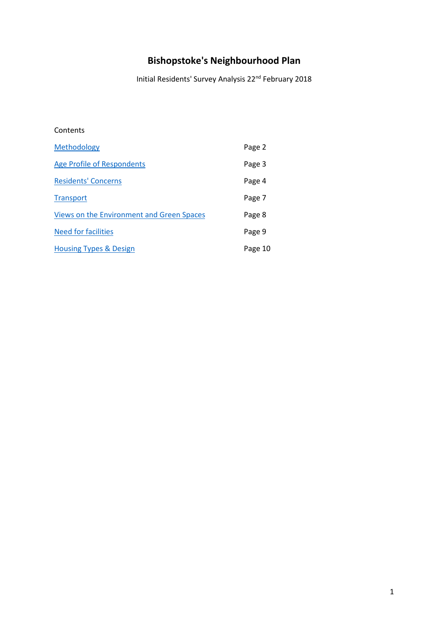# **Bishopstoke's Neighbourhood Plan**

Initial Residents' Survey Analysis 22nd February 2018

# Contents

| Methodology                               | Page 2  |
|-------------------------------------------|---------|
| Age Profile of Respondents                | Page 3  |
| <b>Residents' Concerns</b>                | Page 4  |
| <b>Transport</b>                          | Page 7  |
| Views on the Environment and Green Spaces | Page 8  |
| Need for facilities                       | Page 9  |
| <b>Housing Types &amp; Design</b>         | Page 10 |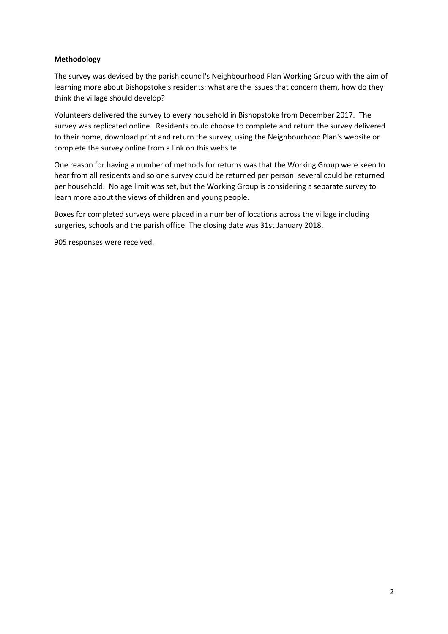# **Methodology**

The survey was devised by the parish council's Neighbourhood Plan Working Group with the aim of learning more about Bishopstoke's residents: what are the issues that concern them, how do they think the village should develop?

Volunteers delivered the survey to every household in Bishopstoke from December 2017. The survey was replicated online. Residents could choose to complete and return the survey delivered to their home, download print and return the survey, using the Neighbourhood Plan's website or complete the survey online from a link on this website.

One reason for having a number of methods for returns was that the Working Group were keen to hear from all residents and so one survey could be returned per person: several could be returned per household. No age limit was set, but the Working Group is considering a separate survey to learn more about the views of children and young people.

Boxes for completed surveys were placed in a number of locations across the village including surgeries, schools and the parish office. The closing date was 31st January 2018.

905 responses were received.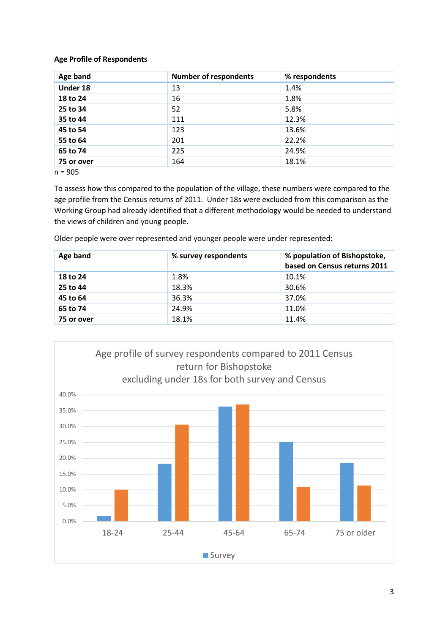# **Age Profile of Respondents**

| Age band   | <b>Number of respondents</b> | % respondents |
|------------|------------------------------|---------------|
| Under 18   | 13                           | 1.4%          |
| 18 to 24   | 16                           | 1.8%          |
| 25 to 34   | 52                           | 5.8%          |
| 35 to 44   | 111                          | 12.3%         |
| 45 to 54   | 123                          | 13.6%         |
| 55 to 64   | 201                          | 22.2%         |
| 65 to 74   | 225                          | 24.9%         |
| 75 or over | 164                          | 18.1%         |

n = 905

To assess how this compared to the population of the village, these numbers were compared to the age profile from the Census returns of 2011. Under 18s were excluded from this comparison as the Working Group had already identified that a different methodology would be needed to understand the views of children and young people.

Older people were over represented and younger people were under represented:

| Age band   | % survey respondents | % population of Bishopstoke,<br>based on Census returns 2011 |
|------------|----------------------|--------------------------------------------------------------|
| 18 to 24   | 1.8%                 | 10.1%                                                        |
| 25 to 44   | 18.3%                | 30.6%                                                        |
| 45 to 64   | 36.3%                | 37.0%                                                        |
| 65 to 74   | 24.9%                | 11.0%                                                        |
| 75 or over | 18.1%                | 11.4%                                                        |

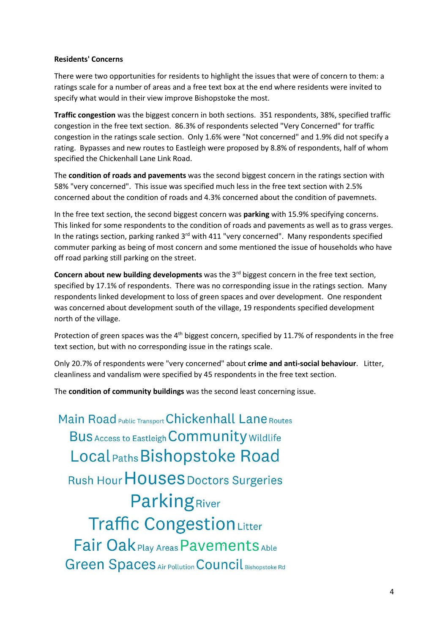#### **Residents' Concerns**

There were two opportunities for residents to highlight the issues that were of concern to them: a ratings scale for a number of areas and a free text box at the end where residents were invited to specify what would in their view improve Bishopstoke the most.

**Traffic congestion** was the biggest concern in both sections. 351 respondents, 38%, specified traffic congestion in the free text section. 86.3% of respondents selected "Very Concerned" for traffic congestion in the ratings scale section. Only 1.6% were "Not concerned" and 1.9% did not specify a rating. Bypasses and new routes to Eastleigh were proposed by 8.8% of respondents, half of whom specified the Chickenhall Lane Link Road.

The **condition of roads and pavements** was the second biggest concern in the ratings section with 58% "very concerned". This issue was specified much less in the free text section with 2.5% concerned about the condition of roads and 4.3% concerned about the condition of pavemnets.

In the free text section, the second biggest concern was **parking** with 15.9% specifying concerns. This linked for some respondents to the condition of roads and pavements as well as to grass verges. In the ratings section, parking ranked 3<sup>rd</sup> with 411 "very concerned". Many respondents specified commuter parking as being of most concern and some mentioned the issue of households who have off road parking still parking on the street.

**Concern about new building developments** was the 3<sup>rd</sup> biggest concern in the free text section, specified by 17.1% of respondents. There was no corresponding issue in the ratings section. Many respondents linked development to loss of green spaces and over development. One respondent was concerned about development south of the village, 19 respondents specified development north of the village.

Protection of green spaces was the  $4<sup>th</sup>$  biggest concern, specified by 11.7% of respondents in the free text section, but with no corresponding issue in the ratings scale.

Only 20.7% of respondents were "very concerned" about **crime and anti-social behaviour**. Litter, cleanliness and vandalism were specified by 45 respondents in the free text section.

The **condition of community buildings** was the second least concerning issue.

Main Road Public Transport Chickenhall Lane Routes Bus Access to Eastleigh Community Wildlife Local Paths Bishopstoke Road Rush Hour HOUSES Doctors Surgeries ParkingRiver **Traffic CongestionLitter** Fair Oak Play Areas Pavements Able **Green Spaces Air Pollution Council Bishopstoke Rd**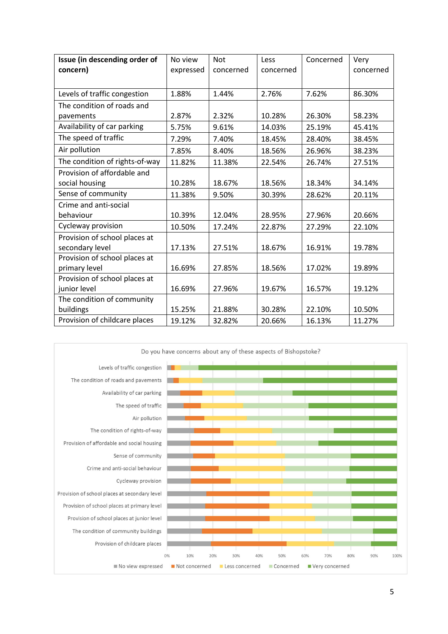| Issue (in descending order of  | No view   | <b>Not</b> | Less      | Concerned | Very      |
|--------------------------------|-----------|------------|-----------|-----------|-----------|
| concern)                       | expressed | concerned  | concerned |           | concerned |
|                                |           |            |           |           |           |
| Levels of traffic congestion   | 1.88%     | 1.44%      | 2.76%     | 7.62%     | 86.30%    |
| The condition of roads and     |           |            |           |           |           |
| pavements                      | 2.87%     | 2.32%      | 10.28%    | 26.30%    | 58.23%    |
| Availability of car parking    | 5.75%     | 9.61%      | 14.03%    | 25.19%    | 45.41%    |
| The speed of traffic           | 7.29%     | 7.40%      | 18.45%    | 28.40%    | 38.45%    |
| Air pollution                  | 7.85%     | 8.40%      | 18.56%    | 26.96%    | 38.23%    |
| The condition of rights-of-way | 11.82%    | 11.38%     | 22.54%    | 26.74%    | 27.51%    |
| Provision of affordable and    |           |            |           |           |           |
| social housing                 | 10.28%    | 18.67%     | 18.56%    | 18.34%    | 34.14%    |
| Sense of community             | 11.38%    | 9.50%      | 30.39%    | 28.62%    | 20.11%    |
| Crime and anti-social          |           |            |           |           |           |
| behaviour                      | 10.39%    | 12.04%     | 28.95%    | 27.96%    | 20.66%    |
| Cycleway provision             | 10.50%    | 17.24%     | 22.87%    | 27.29%    | 22.10%    |
| Provision of school places at  |           |            |           |           |           |
| secondary level                | 17.13%    | 27.51%     | 18.67%    | 16.91%    | 19.78%    |
| Provision of school places at  |           |            |           |           |           |
| primary level                  | 16.69%    | 27.85%     | 18.56%    | 17.02%    | 19.89%    |
| Provision of school places at  |           |            |           |           |           |
| junior level                   | 16.69%    | 27.96%     | 19.67%    | 16.57%    | 19.12%    |
| The condition of community     |           |            |           |           |           |
| buildings                      | 15.25%    | 21.88%     | 30.28%    | 22.10%    | 10.50%    |
| Provision of childcare places  | 19.12%    | 32.82%     | 20.66%    | 16.13%    | 11.27%    |

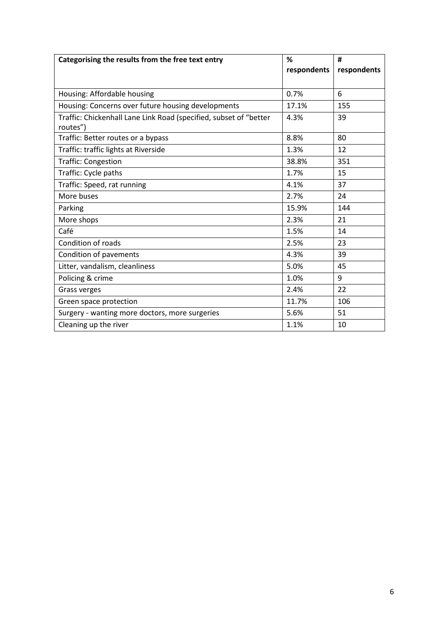| Categorising the results from the free text entry                 | %           | #           |
|-------------------------------------------------------------------|-------------|-------------|
|                                                                   | respondents | respondents |
|                                                                   |             |             |
| Housing: Affordable housing                                       | 0.7%        | 6           |
| Housing: Concerns over future housing developments                | 17.1%       | 155         |
| Traffic: Chickenhall Lane Link Road (specified, subset of "better | 4.3%        | 39          |
| routes")                                                          |             |             |
| Traffic: Better routes or a bypass                                | 8.8%        | 80          |
| Traffic: traffic lights at Riverside                              | 1.3%        | 12          |
| <b>Traffic: Congestion</b>                                        | 38.8%       | 351         |
| Traffic: Cycle paths                                              | 1.7%        | 15          |
| Traffic: Speed, rat running                                       | 4.1%        | 37          |
| More buses                                                        | 2.7%        | 24          |
| Parking                                                           | 15.9%       | 144         |
| More shops                                                        | 2.3%        | 21          |
| Café                                                              | 1.5%        | 14          |
| Condition of roads                                                | 2.5%        | 23          |
| Condition of pavements                                            | 4.3%        | 39          |
| Litter, vandalism, cleanliness                                    | 5.0%        | 45          |
| Policing & crime                                                  | 1.0%        | 9           |
| Grass verges                                                      | 2.4%        | 22          |
| Green space protection                                            | 11.7%       | 106         |
| Surgery - wanting more doctors, more surgeries                    | 5.6%        | 51          |
| Cleaning up the river                                             | 1.1%        | 10          |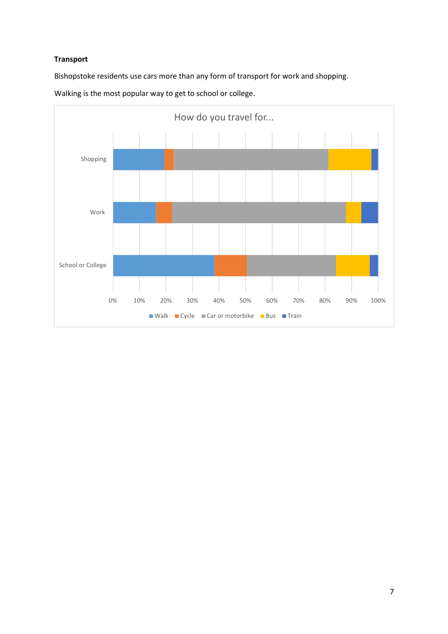# **Transport**

Bishopstoke residents use cars more than any form of transport for work and shopping.



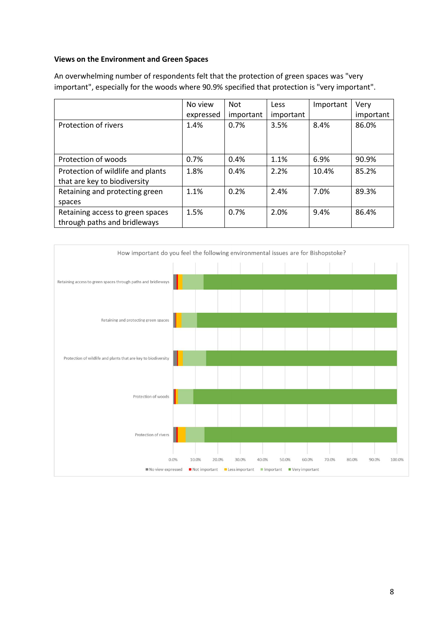#### **Views on the Environment and Green Spaces**

|                                   | No view   | <b>Not</b> | Less      | Important | Very      |
|-----------------------------------|-----------|------------|-----------|-----------|-----------|
|                                   | expressed | important  | important |           | important |
| Protection of rivers              | 1.4%      | 0.7%       | 3.5%      | 8.4%      | 86.0%     |
|                                   |           |            |           |           |           |
|                                   |           |            |           |           |           |
| Protection of woods               | 0.7%      | 0.4%       | 1.1%      | 6.9%      | 90.9%     |
| Protection of wildlife and plants | 1.8%      | 0.4%       | 2.2%      | 10.4%     | 85.2%     |
| that are key to biodiversity      |           |            |           |           |           |
| Retaining and protecting green    | 1.1%      | 0.2%       | 2.4%      | 7.0%      | 89.3%     |
| spaces                            |           |            |           |           |           |
| Retaining access to green spaces  | 1.5%      | 0.7%       | 2.0%      | 9.4%      | 86.4%     |
| through paths and bridleways      |           |            |           |           |           |

An overwhelming number of respondents felt that the protection of green spaces was "very important", especially for the woods where 90.9% specified that protection is "very important".

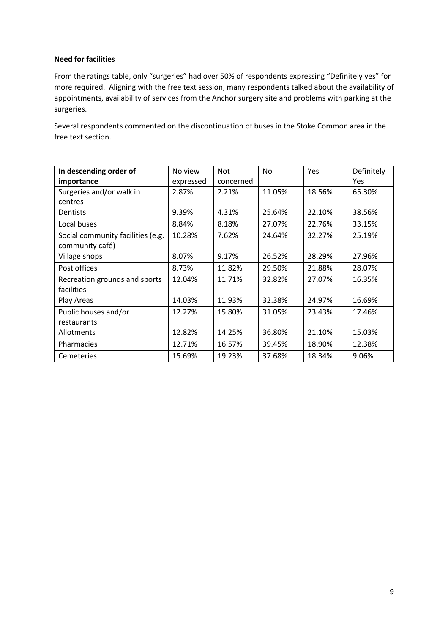# **Need for facilities**

From the ratings table, only "surgeries" had over 50% of respondents expressing "Definitely yes" for more required. Aligning with the free text session, many respondents talked about the availability of appointments, availability of services from the Anchor surgery site and problems with parking at the surgeries.

Several respondents commented on the discontinuation of buses in the Stoke Common area in the free text section.

| In descending order of            | No view   | <b>Not</b> | <b>No</b> | Yes    | Definitely |
|-----------------------------------|-----------|------------|-----------|--------|------------|
| importance                        | expressed | concerned  |           |        | <b>Yes</b> |
| Surgeries and/or walk in          | 2.87%     | 2.21%      | 11.05%    | 18.56% | 65.30%     |
| centres                           |           |            |           |        |            |
| Dentists                          | 9.39%     | 4.31%      | 25.64%    | 22.10% | 38.56%     |
| Local buses                       | 8.84%     | 8.18%      | 27.07%    | 22.76% | 33.15%     |
| Social community facilities (e.g. | 10.28%    | 7.62%      | 24.64%    | 32.27% | 25.19%     |
| community café)                   |           |            |           |        |            |
| Village shops                     | 8.07%     | 9.17%      | 26.52%    | 28.29% | 27.96%     |
| Post offices                      | 8.73%     | 11.82%     | 29.50%    | 21.88% | 28.07%     |
| Recreation grounds and sports     | 12.04%    | 11.71%     | 32.82%    | 27.07% | 16.35%     |
| facilities                        |           |            |           |        |            |
| Play Areas                        | 14.03%    | 11.93%     | 32.38%    | 24.97% | 16.69%     |
| Public houses and/or              | 12.27%    | 15.80%     | 31.05%    | 23.43% | 17.46%     |
| restaurants                       |           |            |           |        |            |
| Allotments                        | 12.82%    | 14.25%     | 36.80%    | 21.10% | 15.03%     |
| Pharmacies                        | 12.71%    | 16.57%     | 39.45%    | 18.90% | 12.38%     |
| Cemeteries                        | 15.69%    | 19.23%     | 37.68%    | 18.34% | 9.06%      |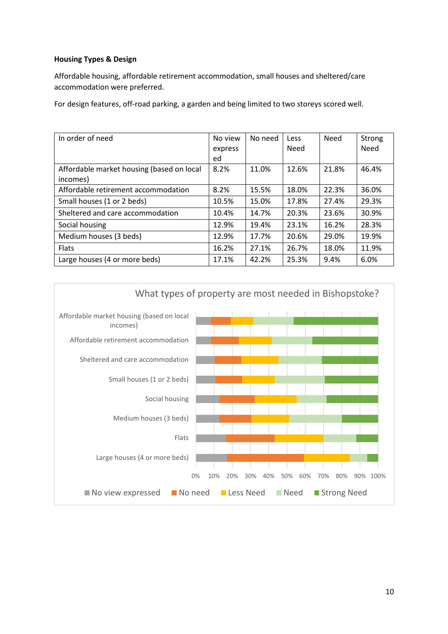# **Housing Types & Design**

Affordable housing, affordable retirement accommodation, small houses and sheltered/care accommodation were preferred.

For design features, off-road parking, a garden and being limited to two storeys scored well.

| In order of need                          | No view | No need | Less  | Need  | Strong |
|-------------------------------------------|---------|---------|-------|-------|--------|
|                                           | express |         | Need  |       | Need   |
|                                           | ed      |         |       |       |        |
| Affordable market housing (based on local | 8.2%    | 11.0%   | 12.6% | 21.8% | 46.4%  |
| incomes)                                  |         |         |       |       |        |
| Affordable retirement accommodation       | 8.2%    | 15.5%   | 18.0% | 22.3% | 36.0%  |
| Small houses (1 or 2 beds)                | 10.5%   | 15.0%   | 17.8% | 27.4% | 29.3%  |
| Sheltered and care accommodation          | 10.4%   | 14.7%   | 20.3% | 23.6% | 30.9%  |
| Social housing                            | 12.9%   | 19.4%   | 23.1% | 16.2% | 28.3%  |
| Medium houses (3 beds)                    | 12.9%   | 17.7%   | 20.6% | 29.0% | 19.9%  |
| <b>Flats</b>                              | 16.2%   | 27.1%   | 26.7% | 18.0% | 11.9%  |
| Large houses (4 or more beds)             | 17.1%   | 42.2%   | 25.3% | 9.4%  | 6.0%   |